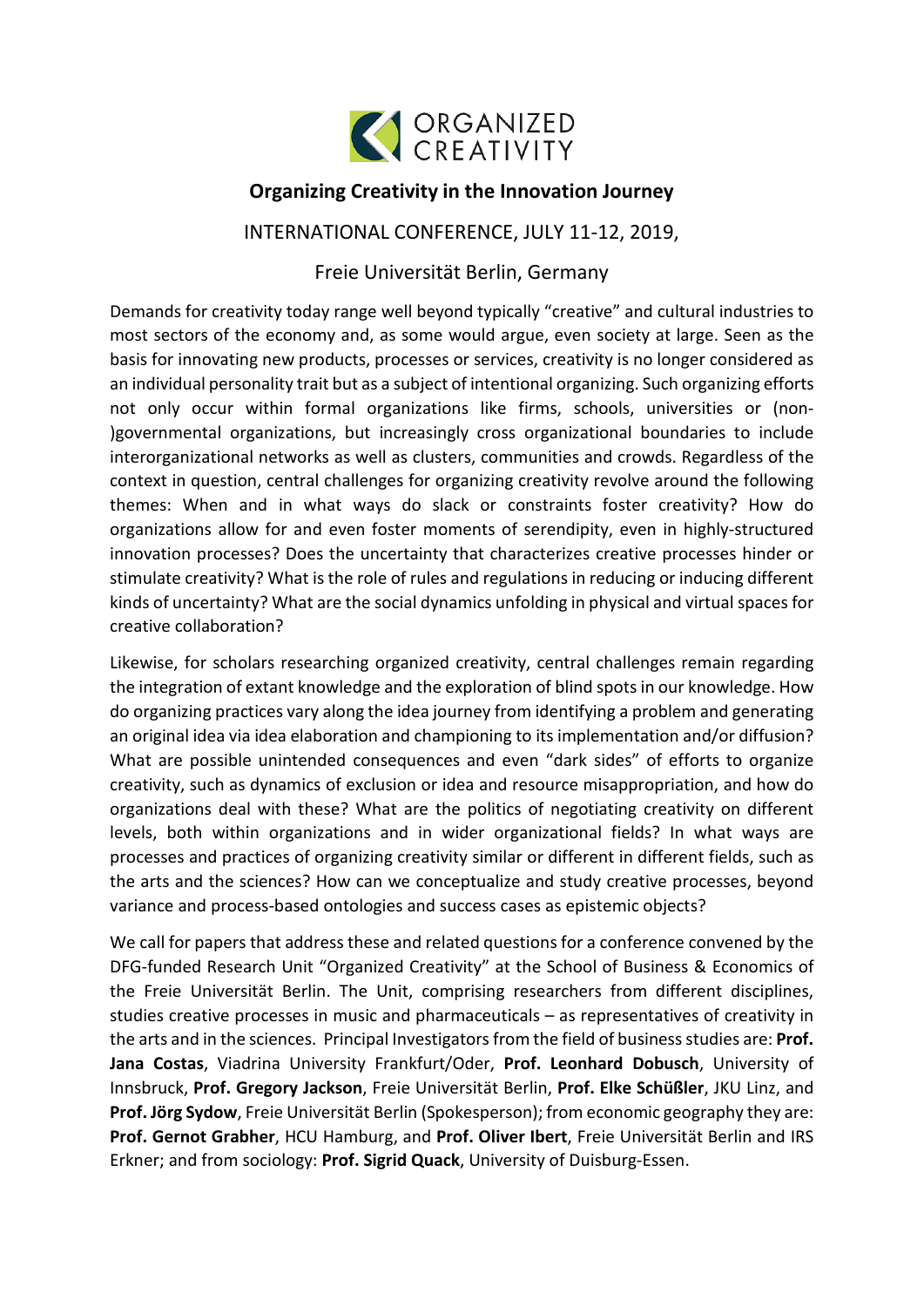

## **Organizing Creativity in the Innovation Journey**

## INTERNATIONAL CONFERENCE, JULY 11-12, 2019,

## Freie Universität Berlin, Germany

Demands for creativity today range well beyond typically "creative" and cultural industries to most sectors of the economy and, as some would argue, even society at large. Seen as the basis for innovating new products, processes or services, creativity is no longer considered as an individual personality trait but as a subject of intentional organizing. Such organizing efforts not only occur within formal organizations like firms, schools, universities or (non- )governmental organizations, but increasingly cross organizational boundaries to include interorganizational networks as well as clusters, communities and crowds. Regardless of the context in question, central challenges for organizing creativity revolve around the following themes: When and in what ways do slack or constraints foster creativity? How do organizations allow for and even foster moments of serendipity, even in highly-structured innovation processes? Does the uncertainty that characterizes creative processes hinder or stimulate creativity? What is the role of rules and regulations in reducing or inducing different kinds of uncertainty? What are the social dynamics unfolding in physical and virtual spaces for creative collaboration?

Likewise, for scholars researching organized creativity, central challenges remain regarding the integration of extant knowledge and the exploration of blind spots in our knowledge. How do organizing practices vary along the idea journey from identifying a problem and generating an original idea via idea elaboration and championing to its implementation and/or diffusion? What are possible unintended consequences and even "dark sides" of efforts to organize creativity, such as dynamics of exclusion or idea and resource misappropriation, and how do organizations deal with these? What are the politics of negotiating creativity on different levels, both within organizations and in wider organizational fields? In what ways are processes and practices of organizing creativity similar or different in different fields, such as the arts and the sciences? How can we conceptualize and study creative processes, beyond variance and process-based ontologies and success cases as epistemic objects?

We call for papers that address these and related questions for a conference convened by the DFG-funded Research Unit "Organized Creativity" at the School of Business & Economics of the Freie Universität Berlin. The Unit, comprising researchers from different disciplines, studies creative processes in music and pharmaceuticals – as representatives of creativity in the arts and in the sciences. Principal Investigators from the field of business studies are: **Prof. Jana Costas**, Viadrina University Frankfurt/Oder, **Prof. Leonhard Dobusch**, University of Innsbruck, **Prof. Gregory Jackson**, Freie Universität Berlin, **Prof. Elke Schüßler**, JKU Linz, and **Prof. Jörg Sydow**, Freie Universität Berlin (Spokesperson); from economic geography they are: **Prof. Gernot Grabher**, HCU Hamburg, and **Prof. Oliver Ibert**, Freie Universität Berlin and IRS Erkner; and from sociology: **Prof. Sigrid Quack**, University of Duisburg-Essen.